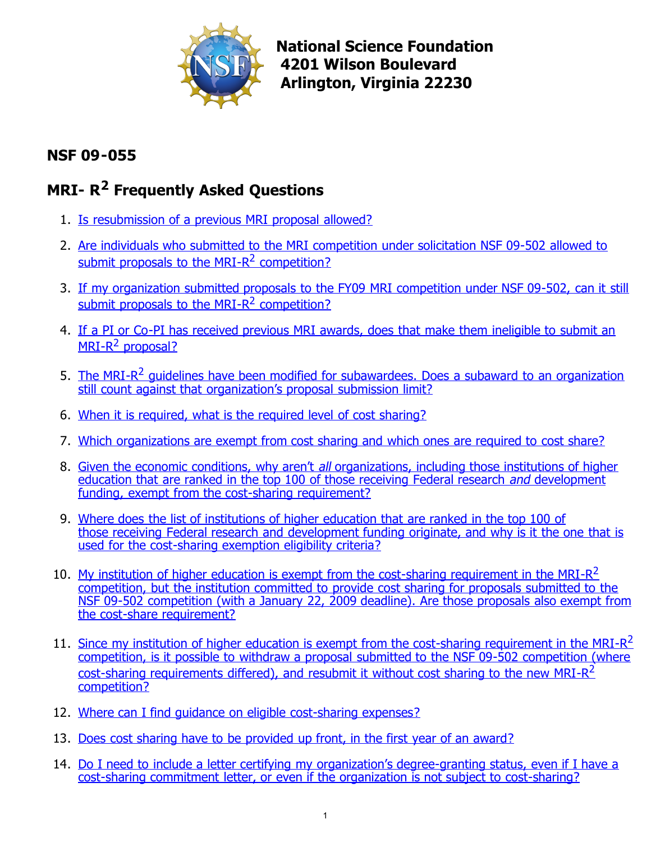

**National Science Foundation 4201 Wilson Boulevard Arlington, Virginia 22230** 

# **NSF 09-055**

# **MRI- R2 Frequently Asked Questions**

- 1. [Is resubmission of a previous MRI proposal allowed?](#page-1-0)
- 2. [Are individuals who submitted to the MRI competition under solicitation NSF 09-502 allowed to](#page-1-1) submit proposals to the MRI- $R^2$  competition?
- 3. [If my organization submitted proposals to the FY09 MRI competition under NSF 09-502, can it still](#page-2-0) submit proposals to the MRI- $R^2$  competition?
- 4. [If a PI or Co-PI has received previous MRI awards, does that make them ineligible to submit an](#page-2-0)  $MRI-R^2$  proposal?
- 5. The MRI- $R^2$  guidelines have been modified for subawardees. Does a subaward to an organization still count against that organization's proposal submission limit?
- 6. [When it is required, what is the required level of cost sharing?](#page-2-0)
- 7. [Which organizations are exempt from cost sharing and which ones are required to cost share?](#page-2-0)
- 8. Given the economic conditions, why aren't all organizations, including those institutions of higher [education that are ranked in the top 100 of those receiving Federal research](#page-2-0) and development funding, exempt from the cost-sharing requirement?
- 9. Where does the list of institutions of higher education that are ranked in the top 100 of [those receiving Federal research and development funding originate, and why is it the one that is](#page-3-0) used for the cost-sharing exemption eligibility criteria?
- 10. My institution of higher education is exempt from the cost-sharing requirement in the MRI- $R^2$ [competition, but the institution committed to provide cost sharing for proposals submitted to the](#page-3-0) NSF 09-502 competition (with a January 22, 2009 deadline). Are those proposals also exempt from the cost-share requirement?
- 11. Since my institution of higher education is exempt from the cost-sharing requirement in the MRI-R<sup>2</sup> [competition, is it possible to withdraw a proposal submitted to the NSF 09-502 competition \(where](#page-3-0) cost-sharing requirements differed), and resubmit it without cost sharing to the new MRI-R<sup>2</sup> competition?
- 12. [Where can I find guidance on eligible cost-sharing expenses?](#page-3-0)
- 13. [Does cost sharing have to be provided up front, in the first year of an award?](#page-3-0)
- 14. [Do I need to include a letter certifying my organization's degree-granting status, even if I have a](#page-3-0) cost-sharing commitment letter, or even if the organization is not subject to cost-sharing?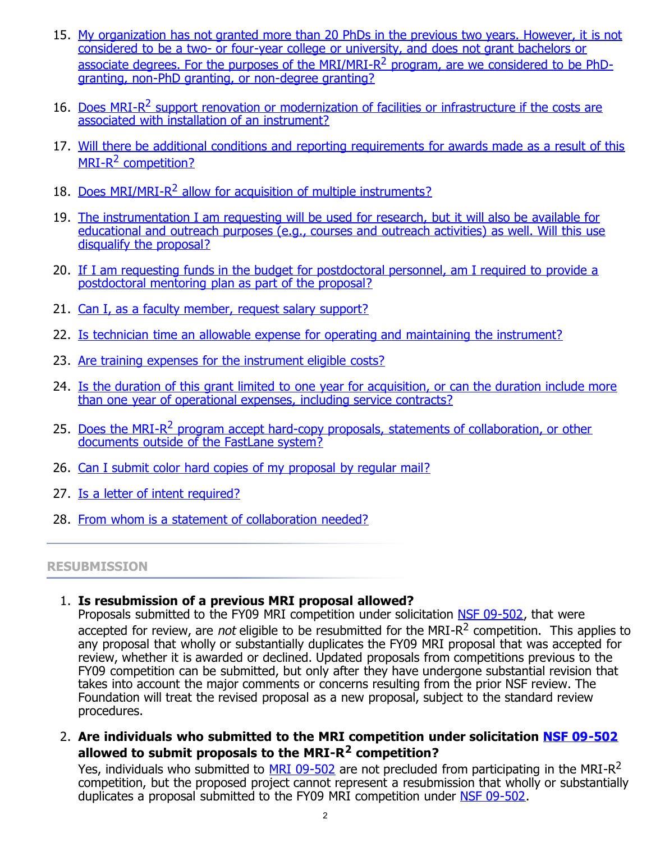- <span id="page-1-0"></span>15. [My organization has not granted more than 20 PhDs in the previous two years. However, it is not](#page-3-0) considered to be a two- or four-year college or university, and does not grant bachelors or associate degrees. For the purposes of the MRI/MRI-R<sup>2</sup> program, are we considered to be PhDgranting, non-PhD granting, or non-degree granting?
- 16. Does MRI-R<sup>2</sup> support renovation or modernization of facilities or infrastructure if the costs are associated with installation of an instrument?
- 17. [Will there be additional conditions and reporting requirements for awards made as a result of this](#page-4-0)  $MRI-R<sup>2</sup>$  competition?
- 18. Does MRI/MRI-R<sup>2</sup> allow for acquisition of multiple instruments?
- 19. The instrumentation I am requesting will be used for research, but it will also be available for [educational and outreach purposes \(e.g., courses and outreach activities\) as well. Will this use](#page-4-0) disqualify the proposal?
- 20. [If I am requesting funds in the budget for postdoctoral personnel, am I required to provide a](#page-4-0) postdoctoral mentoring plan as part of the proposal?
- 21. [Can I, as a faculty member, request salary support?](#page-4-0)
- 22. [Is technician time an allowable expense for operating and maintaining the instrument?](#page-5-0)
- 23. [Are training expenses for the instrument eligible costs?](#page-5-0)
- 24. [Is the duration of this grant limited to one year for acquisition, or can the duration include more](#page-5-0) than one year of operational expenses, including service contracts?
- 25. Does the MRI-R<sup>2</sup> program accept hard-copy proposals, statements of collaboration, or other documents outside of the FastLane system?
- 26. [Can I submit color hard copies of my proposal by regular mail?](#page-5-0)
- 27. [Is a letter of intent required?](#page-5-0)
- 28. [From whom is a statement of collaboration needed?](#page-5-0)

#### **RESUBMISSION**

# 1. **Is resubmission of a previous MRI proposal allowed?**

Proposals submitted to the FY09 MRI competition under solicitation [NSF 09-502,](http://www.nsf.gov/publications/pub_summ.jsp?ods_key=nsf09502) that were accepted for review, are not eligible to be resubmitted for the MRI-R<sup>2</sup> competition. This applies to any proposal that wholly or substantially duplicates the FY09 MRI proposal that was accepted for review, whether it is awarded or declined. Updated proposals from competitions previous to the FY09 competition can be submitted, but only after they have undergone substantial revision that takes into account the major comments or concerns resulting from the prior NSF review. The Foundation will treat the revised proposal as a new proposal, subject to the standard review procedures.

<span id="page-1-1"></span>2. **Are individuals who submitted to the MRI competition under solicitation [NSF 09-502](http://www.nsf.gov/publications/pub_summ.jsp?ods_key=nsf09502) allowed to submit proposals to the MRI-R2 competition?**

Yes, individuals who submitted to [MRI 09-502](http://www.nsf.gov/publications/pub_summ.jsp?ods_key=nsf09502) are not precluded from participating in the MRI-R<sup>2</sup> competition, but the proposed project cannot represent a resubmission that wholly or substantially duplicates a proposal submitted to the FY09 MRI competition under [NSF 09-502.](http://www.nsf.gov/publications/pub_summ.jsp?ods_key=nsf09502)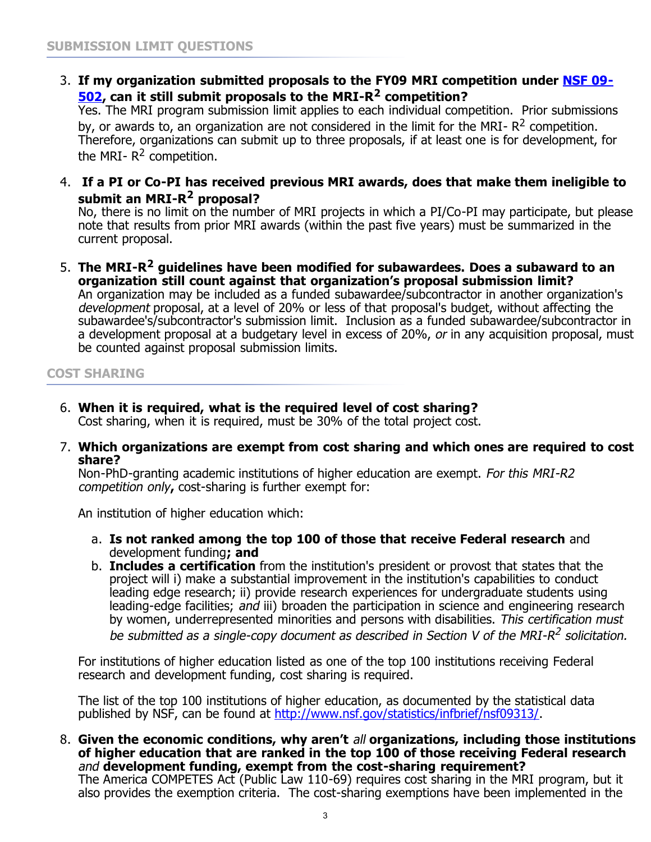<span id="page-2-0"></span>3. **If my organization submitted proposals to the FY09 MRI competition under [NSF 09-](http://www.nsf.gov/publications/pub_summ.jsp?ods_key=nsf09502) [502,](http://www.nsf.gov/publications/pub_summ.jsp?ods_key=nsf09502) can it still submit proposals to the MRI-R2 competition?** 

Yes. The MRI program submission limit applies to each individual competition. Prior submissions by, or awards to, an organization are not considered in the limit for the MRI-  $R^2$  competition. Therefore, organizations can submit up to three proposals, if at least one is for development, for the MRI- $R^2$  competition.

4. **If a PI or Co-PI has received previous MRI awards, does that make them ineligible to submit an MRI-R2 proposal?** 

No, there is no limit on the number of MRI projects in which a PI/Co-PI may participate, but please note that results from prior MRI awards (within the past five years) must be summarized in the current proposal.

5. **The MRI-R2 guidelines have been modified for subawardees. Does a subaward to an organization still count against that organization's proposal submission limit?** An organization may be included as a funded subawardee/subcontractor in another organization's development proposal, at a level of 20% or less of that proposal's budget, without affecting the subawardee's/subcontractor's submission limit. Inclusion as a funded subawardee/subcontractor in a development proposal at a budgetary level in excess of 20%, or in any acquisition proposal, must be counted against proposal submission limits.

**COST SHARING**

- 6. **When it is required, what is the required level of cost sharing?** Cost sharing, when it is required, must be 30% of the total project cost.
- 7. **Which organizations are exempt from cost sharing and which ones are required to cost share?**

Non-PhD-granting academic institutions of higher education are exempt. For this MRI-R2 competition only**,** cost-sharing is further exempt for:

An institution of higher education which:

- a. **Is not ranked among the top 100 of those that receive Federal research** and development funding**; and**
- b. **Includes a certification** from the institution's president or provost that states that the project will i) make a substantial improvement in the institution's capabilities to conduct leading edge research; ii) provide research experiences for undergraduate students using leading-edge facilities; and iii) broaden the participation in science and engineering research by women, underrepresented minorities and persons with disabilities. This certification must be submitted as a single-copy document as described in Section V of the MRI-R<sup>2</sup> solicitation.

For institutions of higher education listed as one of the top 100 institutions receiving Federal research and development funding, cost sharing is required.

The list of the top 100 institutions of higher education, as documented by the statistical data published by NSF, can be found at<http://www.nsf.gov/statistics/infbrief/nsf09313/>.

8. **Given the economic conditions, why aren't** all **organizations, including those institutions of higher education that are ranked in the top 100 of those receiving Federal research** and **development funding, exempt from the cost-sharing requirement?** The America COMPETES Act (Public Law 110-69) requires cost sharing in the MRI program, but it also provides the exemption criteria. The cost-sharing exemptions have been implemented in the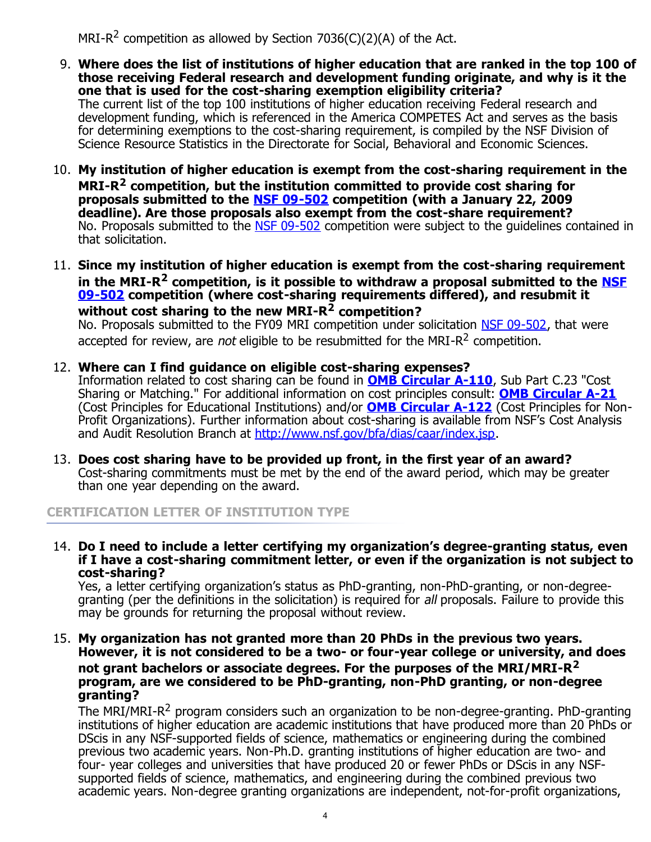MRI-R<sup>2</sup> competition as allowed by Section 7036(C)(2)(A) of the Act.

- <span id="page-3-0"></span>9. **Where does the list of institutions of higher education that are ranked in the top 100 of those receiving Federal research and development funding originate, and why is it the one that is used for the cost-sharing exemption eligibility criteria?** The current list of the top 100 institutions of higher education receiving Federal research and development funding, which is referenced in the America COMPETES Act and serves as the basis for determining exemptions to the cost-sharing requirement, is compiled by the NSF Division of Science Resource Statistics in the Directorate for Social, Behavioral and Economic Sciences.
- 10. **My institution of higher education is exempt from the cost-sharing requirement in the MRI-R2 competition, but the institution committed to provide cost sharing for proposals submitted to the [NSF 09-502](http://www.nsf.gov/publications/pub_summ.jsp?ods_key=nsf09502) competition (with a January 22, 2009 deadline). Are those proposals also exempt from the cost-share requirement?** No. Proposals submitted to the [NSF 09-502](http://www.nsf.gov/publications/pub_summ.jsp?ods_key=nsf09502) competition were subject to the quidelines contained in that solicitation.
- 11. **Since my institution of higher education is exempt from the cost-sharing requirement in the MRI-R2 competition, is it possible to withdraw a proposal submitted to the [NSF](http://www.nsf.gov/publications/pub_summ.jsp?ods_key=nsf09502) [09-502](http://www.nsf.gov/publications/pub_summ.jsp?ods_key=nsf09502) competition (where cost-sharing requirements differed), and resubmit it without cost sharing to the new MRI-R2 competition?**

No. Proposals submitted to the FY09 MRI competition under solicitation [NSF 09-502,](http://www.nsf.gov/publications/pub_summ.jsp?ods_key=nsf09502) that were accepted for review, are not eligible to be resubmitted for the MRI-R<sup>2</sup> competition.

12. **Where can I find guidance on eligible cost-sharing expenses?**

Information related to cost sharing can be found in **[OMB Circular A-110](http://www.whitehouse.gov/omb/circulars/a110/a110.html)**, Sub Part C.23 "Cost Sharing or Matching." For additional information on cost principles consult: **[OMB Circular A-21](http://www.whitehouse.gov/omb/assets/omb/circulars/a021/a21_2004.pdf)** (Cost Principles for Educational Institutions) and/or **[OMB Circular A-122](http://www.whitehouse.gov/omb/assets/omb/circulars/a122/a122_2004.pdf)** (Cost Principles for Non-Profit Organizations). Further information about cost-sharing is available from NSF's Cost Analysis and Audit Resolution Branch at <http://www.nsf.gov/bfa/dias/caar/index.jsp>.

13. **Does cost sharing have to be provided up front, in the first year of an award?** Cost-sharing commitments must be met by the end of the award period, which may be greater than one year depending on the award.

# **CERTIFICATION LETTER OF INSTITUTION TYPE**

14. **Do I need to include a letter certifying my organization's degree-granting status, even if I have a cost-sharing commitment letter, or even if the organization is not subject to cost-sharing?**

Yes, a letter certifying organization's status as PhD-granting, non-PhD-granting, or non-degreegranting (per the definitions in the solicitation) is required for all proposals. Failure to provide this may be grounds for returning the proposal without review.

15. **My organization has not granted more than 20 PhDs in the previous two years. However, it is not considered to be a two- or four-year college or university, and does not grant bachelors or associate degrees. For the purposes of the MRI/MRI-R<sup>2</sup> program, are we considered to be PhD-granting, non-PhD granting, or non-degree granting?**

The MRI/MRI-R<sup>2</sup> program considers such an organization to be non-degree-granting. PhD-granting institutions of higher education are academic institutions that have produced more than 20 PhDs or DScis in any NSF-supported fields of science, mathematics or engineering during the combined previous two academic years. Non-Ph.D. granting institutions of higher education are two- and four- year colleges and universities that have produced 20 or fewer PhDs or DScis in any NSFsupported fields of science, mathematics, and engineering during the combined previous two academic years. Non-degree granting organizations are independent, not-for-profit organizations,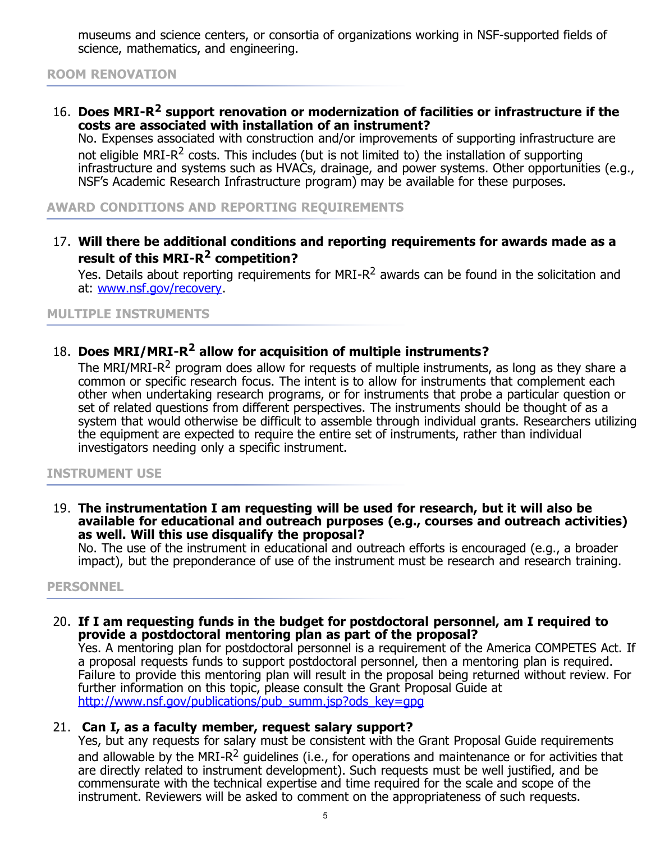<span id="page-4-0"></span>museums and science centers, or consortia of organizations working in NSF-supported fields of science, mathematics, and engineering.

# **ROOM RENOVATION**

16. **Does MRI-R2 support renovation or modernization of facilities or infrastructure if the costs are associated with installation of an instrument?**

No. Expenses associated with construction and/or improvements of supporting infrastructure are not eligible MRI-R<sup>2</sup> costs. This includes (but is not limited to) the installation of supporting infrastructure and systems such as HVACs, drainage, and power systems. Other opportunities (e.g., NSF's Academic Research Infrastructure program) may be available for these purposes.

**AWARD CONDITIONS AND REPORTING REQUIREMENTS**

17. **Will there be additional conditions and reporting requirements for awards made as a result of this MRI-R2 competition?**

Yes. Details about reporting requirements for MRI-R<sup>2</sup> awards can be found in the solicitation and at: [www.nsf.gov/recovery](http://www.nsf.gov/recovery).

**MULTIPLE INSTRUMENTS**

# 18. **Does MRI/MRI-R2 allow for acquisition of multiple instruments?**

The MRI/MRI-R<sup>2</sup> program does allow for requests of multiple instruments, as long as they share a common or specific research focus. The intent is to allow for instruments that complement each other when undertaking research programs, or for instruments that probe a particular question or set of related questions from different perspectives. The instruments should be thought of as a system that would otherwise be difficult to assemble through individual grants. Researchers utilizing the equipment are expected to require the entire set of instruments, rather than individual investigators needing only a specific instrument.

#### **INSTRUMENT USE**

19. **The instrumentation I am requesting will be used for research, but it will also be available for educational and outreach purposes (e.g., courses and outreach activities) as well. Will this use disqualify the proposal?** 

No. The use of the instrument in educational and outreach efforts is encouraged (e.g., a broader impact), but the preponderance of use of the instrument must be research and research training.

#### **PERSONNEL**

#### 20. **If I am requesting funds in the budget for postdoctoral personnel, am I required to provide a postdoctoral mentoring plan as part of the proposal?**

Yes. A mentoring plan for postdoctoral personnel is a requirement of the America COMPETES Act. If a proposal requests funds to support postdoctoral personnel, then a mentoring plan is required. Failure to provide this mentoring plan will result in the proposal being returned without review. For further information on this topic, please consult the Grant Proposal Guide at [http://www.nsf.gov/publications/pub\\_summ.jsp?ods\\_key=gpg](http://www.nsf.gov/publications/pub_summ.jsp?ods_key=gpg)

# 21. **Can I, as a faculty member, request salary support?**

Yes, but any requests for salary must be consistent with the Grant Proposal Guide requirements and allowable by the MRI-R<sup>2</sup> guidelines (i.e., for operations and maintenance or for activities that are directly related to instrument development). Such requests must be well justified, and be commensurate with the technical expertise and time required for the scale and scope of the instrument. Reviewers will be asked to comment on the appropriateness of such requests.